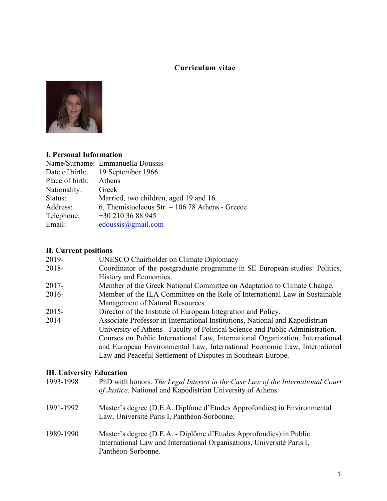# **Curriculum vitae**



## **I. Personal Information**

|                 | Name/Surname: Emmanuella Doussis                |
|-----------------|-------------------------------------------------|
|                 | Date of birth: 19 September 1966                |
| Place of birth: | Athens                                          |
| Nationality:    | Greek                                           |
| Status:         | Married, two children, aged 19 and 16.          |
| Address:        | 6, Themistocleous Str. $-10678$ Athens - Greece |
| Telephone:      | $+30$ 210 36 88 945                             |
| Email:          | edoussis@gmail.com                              |

## **II. Current positions**

| 2019-    | <b>UNESCO Chairholder on Climate Diplomacy</b>                                 |
|----------|--------------------------------------------------------------------------------|
| 2018-    | Coordinator of the postgraduate programme in SE European studies: Politics,    |
|          | History and Economics.                                                         |
| $2017 -$ | Member of the Greek National Committee on Adaptation to Climate Change.        |
| $2016-$  | Member of the ILA Committee on the Role of International Law in Sustainable    |
|          | Management of Natural Resources                                                |
| $2015 -$ | Director of the Institute of European Integration and Policy.                  |
| $2014 -$ | Associate Professor in International Institutions, National and Kapodistrian   |
|          | University of Athens - Faculty of Political Science and Public Administration. |
|          | Courses on Public International Law, International Organization, International |
|          | and European Environmental Law, International Economic Law, International      |
|          | Law and Peaceful Settlement of Disputes in Southeast Europe.                   |
|          |                                                                                |

## **III. University Education**

| 1993-1998 | PhD with honors. The Legal Interest in the Case Law of the International Court<br>of Justice. National and Kapodistrian University of Athens.                      |
|-----------|--------------------------------------------------------------------------------------------------------------------------------------------------------------------|
| 1991-1992 | Master's degree (D.E.A. Diplôme d'Etudes Approfondies) in Environmental<br>Law, Université Paris I, Panthéon-Sorbonne.                                             |
| 1989-1990 | Master's degree (D.E.A. - Diplôme d'Etudes Approfondies) in Public<br>International Law and International Organisations, Université Paris I,<br>Panthéon-Sorbonne. |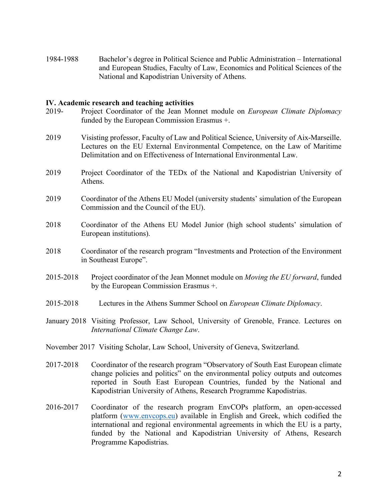1984-1988 Bachelor's degree in Political Science and Public Administration – International and European Studies, Faculty of Law, Economics and Political Sciences of the National and Kapodistrian University of Athens.

#### **IV. Academic research and teaching activities**

- 2019- Project Coordinator of the Jean Monnet module on *European Climate Diplomacy* funded by the European Commission Erasmus +.
- 2019 Visisting professor, Faculty of Law and Political Science, University of Aix-Marseille. Lectures on the EU External Environmental Competence, on the Law of Maritime Delimitation and on Effectiveness of International Environmental Law.
- 2019 Project Coordinator of the TEDx of the National and Kapodistrian University of Athens.
- 2019 Coordinator of the Athens EU Model (university students' simulation of the European Commission and the Council of the EU).
- 2018 Coordinator of the Athens EU Model Junior (high school students' simulation of European institutions).
- 2018 Coordinator of the research program "Investments and Protection of the Environment in Southeast Europe".
- 2015-2018 Project coordinator of the Jean Monnet module on *Moving the EU forward*, funded by the European Commission Erasmus +.
- 2015-2018 Lectures in the Athens Summer School on *European Climate Diplomacy*.
- January 2018 Visiting Professor, Law School, University of Grenoble, France. Lectures on *International Climate Change Law*.
- November 2017 Visiting Scholar, Law School, University of Geneva, Switzerland.
- 2017-2018 Coordinator of the research program "Observatory of South East European climate change policies and politics" on the environmental policy outputs and outcomes reported in South East European Countries, funded by the National and Kapodistrian University of Athens, Research Programme Kapodistrias.
- 2016-2017 Coordinator of the research program EnvCOPs platform, an open-accessed platform (www.envcops.eu) available in English and Greek, which codified the international and regional environmental agreements in which the EU is a party, funded by the National and Kapodistrian University of Athens, Research Programme Kapodistrias.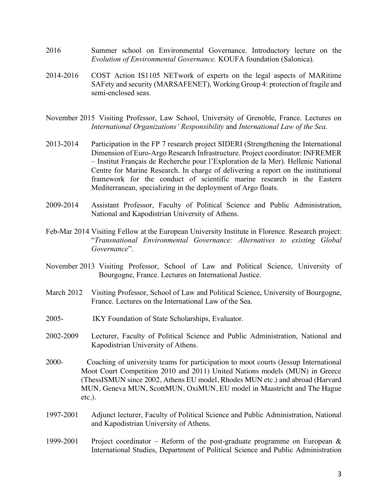- 2016 Summer school on Environmental Governance. Introductory lecture on the *Evolution of Environmental Governance.* KOUFA foundation (Salonica).
- 2014-2016 COST Action IS1105 NETwork of experts on the legal aspects of MARitime SAFety and security (MARSAFENET), Working Group 4: protection of fragile and semi-enclosed seas.
- November 2015 Visiting Professor, Law School, University of Grenoble, France. Lectures on *International Organizations' Responsibility* and *International Law of the Sea*.
- 2013-2014 Participation in the FP 7 research project SIDERI (Strengthening the International Dimension of Euro-Argo Research Infrastructure. Project coordinator: INFREMER – Institut Français de Recherche pour l'Exploration de la Mer). Hellenic National Centre for Marine Research. In charge of delivering a report on the institutional framework for the conduct of scientific marine research in the Eastern Mediterranean, specializing in the deployment of Argo floats.
- 2009-2014 Assistant Professor, Faculty of Political Science and Public Administration, National and Kapodistrian University of Athens.
- Feb-Mar 2014 Visiting Fellow at the European University Institute in Florence. Research project: "*Transnational Environmental Governance: Alternatives to existing Global Governance*".
- November 2013 Visiting Professor, School of Law and Political Science, University of Bourgogne, France. Lectures on International Justice.
- March 2012 Visiting Professor, School of Law and Political Science, University of Bourgogne, France. Lectures on the International Law of the Sea.
- 2005- IKY Foundation of State Scholarships, Evaluator.
- 2002-2009 Lecturer, Faculty of Political Science and Public Administration, National and Kapodistrian University of Athens.
- 2000- Coaching of university teams for participation to moot courts (Jessup International Moot Court Competition 2010 and 2011) United Nations models (MUN) in Greece (ThessISMUN since 2002, Athens EU model, Rhodes MUN etc.) and abroad (Harvard MUN, Geneva MUN, ScottMUN, OxiMUN, EU model in Maastricht and The Hague etc.).
- 1997-2001 Adjunct lecturer, Faculty of Political Science and Public Administration, National and Kapodistrian University of Athens.
- 1999-2001 Project coordinator Reform of the post-graduate programme on European  $\&$ International Studies, Department of Political Science and Public Administration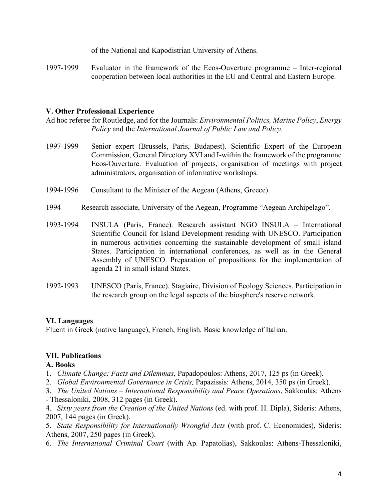of the National and Kapodistrian University of Athens.

1997-1999 Evaluator in the framework of the Ecos-Ouverture programme – Inter-regional cooperation between local authorities in the EU and Central and Eastern Europe.

### **V. Other Professional Experience**

Ad hoc referee for Routledge, and for the Journals: *Environmental Politics, Marine Policy*, *Energy Policy* and the *International Journal of Public Law and Policy.*

- 1997-1999 Senior expert (Brussels, Paris, Budapest). Scientific Expert of the European Commission, General Directory XVI and I-within the framework of the programme Ecos-Ouverture. Evaluation of projects, organisation of meetings with project administrators, organisation of informative workshops.
- 1994-1996 Consultant to the Minister of the Aegean (Athens, Greece).
- 1994 Research associate, University of the Aegean, Programme "Aegean Archipelago".
- 1993-1994 INSULA (Paris, France). Research assistant NGO INSULA International Scientific Council for Island Development residing with UNESCO. Participation in numerous activities concerning the sustainable development of small island States. Participation in international conferences, as well as in the General Assembly of UNESCO. Preparation of propositions for the implementation of agenda 21 in small island States.
- 1992-1993 UNESCO (Paris, France). Stagiaire, Division of Ecology Sciences. Participation in the research group on the legal aspects of the biosphere's reserve network.

### **VI. Languages**

Fluent in Greek (native language), French, English. Basic knowledge of Italian.

### **VΙΙ. Publications**

#### **A. Books**

- 1. *Climate Change: Facts and Dilemmas*, Papadopoulos: Athens, 2017, 125 ps (in Greek).
- 2. *Global Environmental Governance in Crisis,* Papazissis: Athens, 2014, 350 ps (in Greek).
- 3. *The United Nations – International Responsibility and Peace Operations*, Sakkoulas: Athens
- Thessaloniki, 2008, 312 pages (in Greek).

4. *Sixty years from the Creation of the United Nations* (ed. with prof. H. Dipla), Sideris: Athens, 2007, 144 pages (in Greek).

5. *State Responsibility for Internationally Wrongful Acts* (with prof. C. Economides), Sideris: Athens, 2007, 250 pages (in Greek).

6. *The International Criminal Court* (with Ap. Papatolias), Sakkoulas: Athens-Thessaloniki,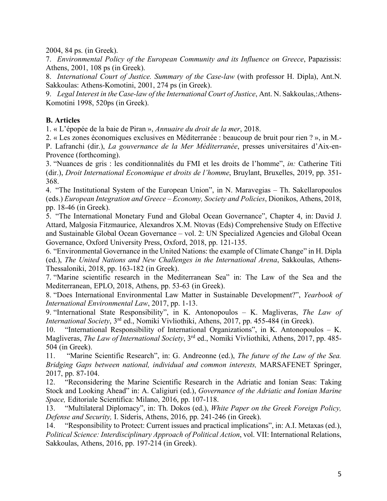2004, 84 ps. (in Greek).

7. *Environmental Policy of the European Community and its Influence on Greece*, Papazissis: Athens, 2001, 108 ps (in Greek).

8. *International Court of Justice. Summary of the Case-law* (with professor H. Dipla), Ant.N. Sakkoulas: Athens-Komotini, 2001, 274 ps (in Greek).

9. *Legal Interest in the Case-law of the International Court of Justice*, Ant. N. Sakkoulas,:Athens-Komotini 1998, 520ps (in Greek).

## **B. Articles**

1. « L'épopée de la baie de Piran », *Annuaire du droit de la mer*, 2018.

2. « Les zones économiques exclusives en Méditerranée : beaucoup de bruit pour rien ? », in M.- P. Lafranchi (dir.), *La gouvernance de la Mer Méditerranée*, presses universitaires d'Aix-en-Provence (forthcoming).

3. "Nuances de gris : les conditionnalités du FMI et les droits de l'homme", *in:* Catherine Titi (dir.), *Droit International Economique et droits de l'homme*, Bruylant, Bruxelles, 2019, pp. 351- 368.

4. "The Institutional System of the European Union", in N. Maravegias – Th. Sakellaropoulos (eds.) *European Integration and Greece – Economy, Society and Policies*, Dionikos, Athens, 2018, pp. 18-46 (in Greek).

5. "The International Monetary Fund and Global Ocean Governance", Chapter 4, in: David J. Attard, Malgosia Fitzmaurice, Alexandros X.M. Ntovas (Eds) Comprehensive Study on Effective and Sustainable Global Ocean Governance – vol. 2: UN Specialized Agencies and Global Ocean Governance, Oxford University Press, Oxford, 2018, pp. 121-135.

6. "Environmental Governance in the United Nations: the example of Climate Change" in H. Dipla (ed.), *The United Nations and New Challenges in the International Arena*, Sakkoulas, Athens-Thessaloniki, 2018, pp. 163-182 (in Greek).

7. "Marine scientific research in the Mediterranean Sea" in: The Law of the Sea and the Mediterranean, EPLO, 2018, Athens, pp. 53-63 (in Greek).

8. "Does International Environmental Law Matter in Sustainable Development?", *Yearbook of International Environmental Law*, 2017, pp. 1-13.

9. "International State Responsibility", in K. Antonopoulos – K. Magliveras, *The Law of International Society*, 3rd ed., Nomiki Vivliothiki, Athens, 2017, pp. 455-484 (in Greek).

10. "International Responsibility of International Organizations", in K. Antonopoulos – K. Magliveras, *The Law of International Society*, 3rd ed., Nomiki Vivliothiki, Athens, 2017, pp. 485- 504 (in Greek).

11. "Marine Scientific Research", in: G. Andreonne (ed.), *The future of the Law of the Sea. Bridging Gaps between national, individual and common interests,* MARSAFENET Springer, 2017, pp. 87-104.

12. "Reconsidering the Marine Scientific Research in the Adriatic and Ionian Seas: Taking Stock and Looking Ahead" in: A. Caligiuri (ed.), *Governance of the Adriatic and Ionian Marine Space,* Editoriale Scientifica: Milano, 2016, pp. 107-118.

13. "Multilateral Diplomacy", in: Th. Dokos (ed.), *White Paper on the Greek Foreign Policy, Defense and Security,* I. Sideris, Athens, 2016, pp. 241-246 (in Greek).

14. "Responsibility to Protect: Current issues and practical implications", in: A.I. Metaxas (ed.), *Political Science: Interdisciplinary Approach of Political Action*, vol. VII: International Relations, Sakkoulas, Athens, 2016, pp. 197-214 (in Greek).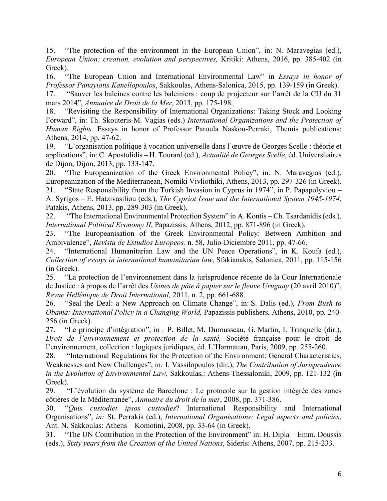15. "The protection of the environment in the European Union", in: N. Maravegias (ed.), *European Union: creation, evolution and perspectives,* Kritiki: Athens, 2016, pp. 385-402 (in Greek).

16. "The European Union and International Environmental Law" in *Essays in honor of Professor Panayiotis Kanellopoulos*, Sakkoulas, Athens-Salonica, 2015, pp. 139-159 (in Greek).

17. "Sauver les baleines contre les baleiniers : coup de projecteur sur l'arrêt de la CIJ du 31 mars 2014", *Annuaire de Droit de la Mer*, 2013, pp. 175-198.

18. "Revisiting the Responsibility of International Organizations: Taking Stock and Looking Forward", in: Th. Skouteris-M. Vagias (eds.) *International Organizations and the Protection of Human Rights,* Essays in honor of Professor Paroula Naskou-Perraki, Themis publications: Athens, 2014, pp. 47-62.

19. "L'organisation politique à vocation universelle dans l'œuvre de Georges Scelle : théorie et applications", in: C. Apostolidis – H. Tourard (ed.), *Actualité de Georges Scelle*, éd. Universitaires de Dijon, Dijon, 2013, pp. 133-147.

20. "The Europeanization of the Greek Environmental Policy", in: N. Maravegias (ed.), Europeanization of the Mediterranean, Nomiki Vivliothiki, Athens, 2013, pp. 297-326 (in Greek).

21. "State Responsibility from the Turkish Invasion in Cyprus in 1974", in P. Papapolyviou – A. Syrigos – E. Hatzivasiliou (eds.), *The Cypriot Issue and the International System 1945-1974*, Patakis, Athens, 2013, pp. 289-303 (in Greek).

22. "The International Environmental Protection System" in A. Kontis – Ch. Tsardanidis (eds.), *International Political Economy II*, Papazissis, Athens, 2012, pp. 871-896 (in Greek).

23. "The Europeanisation of the Greek Environmental Policy: Between Ambition and Ambivalence", *Revista de Estudios Europeos,* n. 58, Julio-Diciembre 2011, pp. 47-66.

24. "International Humanitarian Law and the UN Peace Operations", in K. Koufa (ed.), *Collection of essays in international humanitarian law*, Sfakianakis, Salonica, 2011, pp. 115-156 (in Greek).

25. "La protection de l'environnement dans la jurisprudence récente de la Cour Internationale de Justice : à propos de l'arrêt des *Usines de pâte à papier sur le fleuve Uruguay* (20 avril 2010)", *Revue Hellénique de Droit International,* 2011, n. 2, pp. 661-688.

26. "Seal the Deal: a New Approach on Climate Change", in: S. Dalis (ed.), *From Bush to Obama: International Policy in a Changing World,* Papazissis publishers, Athens, 2010, pp. 240- 256 (in Greek).

27. "Le principe d'intégration", in *:* P. Billet, M. Durousseau, G. Martin, I. Trinquelle (dir.), *Droit de l'environnement et protection de la santé,* Société française pour le droit de l'environnement, collection : logiques juridiques, éd. L'Harmattan, Paris, 2009, pp. 255-260.

28. "International Regulations for the Protection of the Environment: General Characteristics, Weaknesses and New Challenges", in*:* I. Vassilopoulos (dir.), *The Contribution of Jurisprudence in the Evolution of Environmental Law,* Sakkoulas,: Athens-Thessaloniki, 2009, pp. 121-132 (in Greek).

29. "L'évolution du système de Barcelone : Le protocole sur la gestion intégrée des zones côtières de la Méditerranée", *Annuaire du droit de la mer*, 2008, pp. 371-386.

30. "*Quis custodiet ipsos custodies*? International Responsibility and International Organisations", *in:* St. Perrakis (ed.), *International Organisations: Legal aspects and policies*, Ant. N. Sakkoulas: Athens – Komotini, 2008, pp. 33-64 (in Greek).

31. "The UN Contribution in the Protection of the Environment" in: H. Dipla – Emm. Doussis (eds.), *Sixty years from the Creation of the United Nations*, Sideris: Athens, 2007, pp. 215-233.